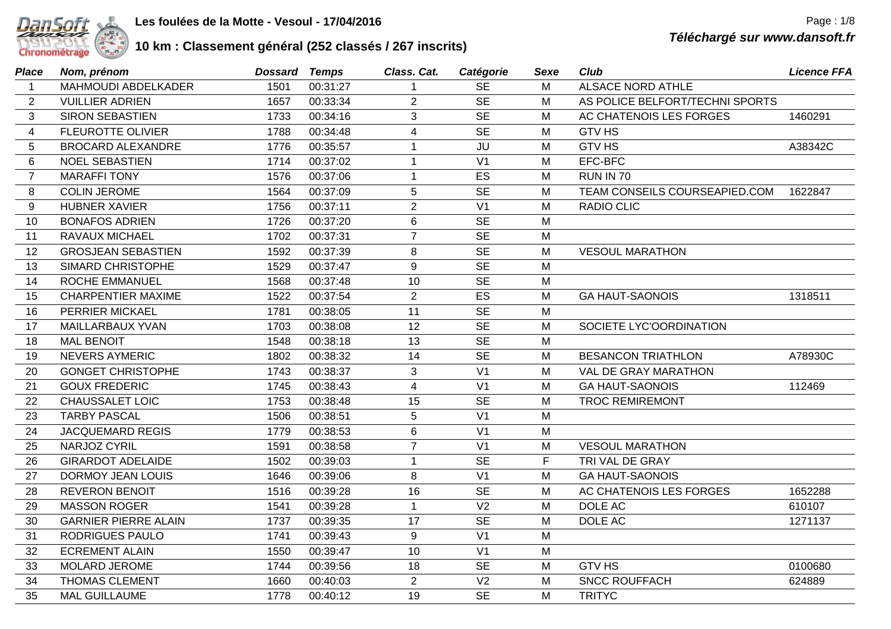

## **10 km : Classement général (252 classés / 267 inscrits)**

| Place          | Nom, prénom                 | Dossard | Temps    | Class. Cat.    | Catégorie      | Sexe        | Club                            | <b>Licence FFA</b> |
|----------------|-----------------------------|---------|----------|----------------|----------------|-------------|---------------------------------|--------------------|
| $\mathbf{1}$   | MAHMOUDI ABDELKADER         | 1501    | 00:31:27 | -1             | <b>SE</b>      | М           | <b>ALSACE NORD ATHLE</b>        |                    |
| 2              | <b>VUILLIER ADRIEN</b>      | 1657    | 00:33:34 | $\overline{2}$ | <b>SE</b>      | M           | AS POLICE BELFORT/TECHNI SPORTS |                    |
| 3              | <b>SIRON SEBASTIEN</b>      | 1733    | 00:34:16 | 3              | <b>SE</b>      | M           | AC CHATENOIS LES FORGES         | 1460291            |
| 4              | <b>FLEUROTTE OLIVIER</b>    | 1788    | 00:34:48 | 4              | <b>SE</b>      | M           | <b>GTV HS</b>                   |                    |
| 5              | <b>BROCARD ALEXANDRE</b>    | 1776    | 00:35:57 | $\mathbf{1}$   | JU             | М           | <b>GTV HS</b>                   | A38342C            |
| 6              | <b>NOEL SEBASTIEN</b>       | 1714    | 00:37:02 | $\mathbf{1}$   | V <sub>1</sub> | M           | EFC-BFC                         |                    |
| $\overline{7}$ | <b>MARAFFI TONY</b>         | 1576    | 00:37:06 | $\mathbf 1$    | ES             | M           | RUN IN 70                       |                    |
| 8              | <b>COLIN JEROME</b>         | 1564    | 00:37:09 | 5              | <b>SE</b>      | M           | TEAM CONSEILS COURSEAPIED.COM   | 1622847            |
| 9              | <b>HUBNER XAVIER</b>        | 1756    | 00:37:11 | $\overline{2}$ | V <sub>1</sub> | M           | <b>RADIO CLIC</b>               |                    |
| 10             | <b>BONAFOS ADRIEN</b>       | 1726    | 00:37:20 | 6              | <b>SE</b>      | M           |                                 |                    |
| 11             | RAVAUX MICHAEL              | 1702    | 00:37:31 | $\overline{7}$ | <b>SE</b>      | М           |                                 |                    |
| 12             | <b>GROSJEAN SEBASTIEN</b>   | 1592    | 00:37:39 | 8              | <b>SE</b>      | M           | <b>VESOUL MARATHON</b>          |                    |
| 13             | SIMARD CHRISTOPHE           | 1529    | 00:37:47 | 9              | <b>SE</b>      | M           |                                 |                    |
| 14             | <b>ROCHE EMMANUEL</b>       | 1568    | 00:37:48 | 10             | <b>SE</b>      | M           |                                 |                    |
| 15             | <b>CHARPENTIER MAXIME</b>   | 1522    | 00:37:54 | $\overline{2}$ | ES             | M           | <b>GA HAUT-SAONOIS</b>          | 1318511            |
| 16             | PERRIER MICKAEL             | 1781    | 00:38:05 | 11             | <b>SE</b>      | M           |                                 |                    |
| 17             | MAILLARBAUX YVAN            | 1703    | 00:38:08 | 12             | <b>SE</b>      | M           | SOCIETE LYC'OORDINATION         |                    |
| 18             | <b>MAL BENOIT</b>           | 1548    | 00:38:18 | 13             | <b>SE</b>      | M           |                                 |                    |
| 19             | <b>NEVERS AYMERIC</b>       | 1802    | 00:38:32 | 14             | <b>SE</b>      | M           | <b>BESANCON TRIATHLON</b>       | A78930C            |
| 20             | <b>GONGET CHRISTOPHE</b>    | 1743    | 00:38:37 | $\mathbf{3}$   | V <sub>1</sub> | M           | VAL DE GRAY MARATHON            |                    |
| 21             | <b>GOUX FREDERIC</b>        | 1745    | 00:38:43 | $\overline{4}$ | V <sub>1</sub> | M           | <b>GA HAUT-SAONOIS</b>          | 112469             |
| 22             | <b>CHAUSSALET LOIC</b>      | 1753    | 00:38:48 | 15             | <b>SE</b>      | M           | <b>TROC REMIREMONT</b>          |                    |
| 23             | <b>TARBY PASCAL</b>         | 1506    | 00:38:51 | 5              | V <sub>1</sub> | М           |                                 |                    |
| 24             | <b>JACQUEMARD REGIS</b>     | 1779    | 00:38:53 | $\,6$          | V <sub>1</sub> | M           |                                 |                    |
| 25             | NARJOZ CYRIL                | 1591    | 00:38:58 | $\overline{7}$ | V <sub>1</sub> | M           | <b>VESOUL MARATHON</b>          |                    |
| 26             | <b>GIRARDOT ADELAIDE</b>    | 1502    | 00:39:03 | $\overline{1}$ | <b>SE</b>      | $\mathsf F$ | TRI VAL DE GRAY                 |                    |
| 27             | <b>DORMOY JEAN LOUIS</b>    | 1646    | 00:39:06 | 8              | V <sub>1</sub> | M           | <b>GA HAUT-SAONOIS</b>          |                    |
| 28             | <b>REVERON BENOIT</b>       | 1516    | 00:39:28 | 16             | <b>SE</b>      | M           | AC CHATENOIS LES FORGES         | 1652288            |
| 29             | <b>MASSON ROGER</b>         | 1541    | 00:39:28 | $\overline{1}$ | V <sub>2</sub> | M           | DOLE AC                         | 610107             |
| 30             | <b>GARNIER PIERRE ALAIN</b> | 1737    | 00:39:35 | 17             | <b>SE</b>      | M           | DOLE AC                         | 1271137            |
| 31             | RODRIGUES PAULO             | 1741    | 00:39:43 | 9              | V <sub>1</sub> | M           |                                 |                    |
| 32             | <b>ECREMENT ALAIN</b>       | 1550    | 00:39:47 | 10             | V <sub>1</sub> | M           |                                 |                    |
| 33             | MOLARD JEROME               | 1744    | 00:39:56 | 18             | <b>SE</b>      | М           | <b>GTV HS</b>                   | 0100680            |
| 34             | THOMAS CLEMENT              | 1660    | 00:40:03 | 2              | V <sub>2</sub> | М           | <b>SNCC ROUFFACH</b>            | 624889             |
| 35             | <b>MAL GUILLAUME</b>        | 1778    | 00:40:12 | 19             | <b>SE</b>      | М           | <b>TRITYC</b>                   |                    |
|                |                             |         |          |                |                |             |                                 |                    |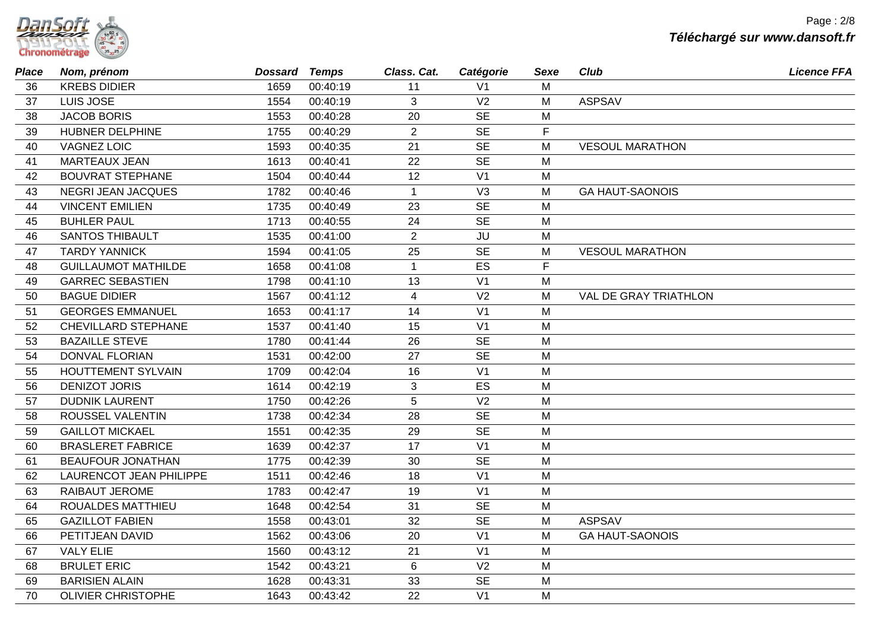| anson                |  |
|----------------------|--|
| <b>Chronométrage</b> |  |

| Place | Nom, prénom                | Dossard Temps |          | Class. Cat.    | Catégorie      | <b>Sexe</b> | Club                   | <b>Licence FFA</b> |
|-------|----------------------------|---------------|----------|----------------|----------------|-------------|------------------------|--------------------|
| 36    | <b>KREBS DIDIER</b>        | 1659          | 00:40:19 | 11             | V <sub>1</sub> | м           |                        |                    |
| 37    | LUIS JOSE                  | 1554          | 00:40:19 | 3              | V <sub>2</sub> | M           | <b>ASPSAV</b>          |                    |
| 38    | <b>JACOB BORIS</b>         | 1553          | 00:40:28 | 20             | <b>SE</b>      | М           |                        |                    |
| 39    | HUBNER DELPHINE            | 1755          | 00:40:29 | $\overline{2}$ | <b>SE</b>      | F           |                        |                    |
| 40    | <b>VAGNEZ LOIC</b>         | 1593          | 00:40:35 | 21             | <b>SE</b>      | M           | <b>VESOUL MARATHON</b> |                    |
| 41    | <b>MARTEAUX JEAN</b>       | 1613          | 00:40:41 | 22             | <b>SE</b>      | M           |                        |                    |
| 42    | <b>BOUVRAT STEPHANE</b>    | 1504          | 00:40:44 | 12             | V <sub>1</sub> | M           |                        |                    |
| 43    | <b>NEGRI JEAN JACQUES</b>  | 1782          | 00:40:46 | $\mathbf{1}$   | V <sub>3</sub> | M           | <b>GA HAUT-SAONOIS</b> |                    |
| 44    | <b>VINCENT EMILIEN</b>     | 1735          | 00:40:49 | 23             | <b>SE</b>      | M           |                        |                    |
| 45    | <b>BUHLER PAUL</b>         | 1713          | 00:40:55 | 24             | <b>SE</b>      | M           |                        |                    |
| 46    | <b>SANTOS THIBAULT</b>     | 1535          | 00:41:00 | $\overline{2}$ | JU             | M           |                        |                    |
| 47    | <b>TARDY YANNICK</b>       | 1594          | 00:41:05 | 25             | <b>SE</b>      | M           | <b>VESOUL MARATHON</b> |                    |
| 48    | <b>GUILLAUMOT MATHILDE</b> | 1658          | 00:41:08 | $\mathbf{1}$   | ES             | F           |                        |                    |
| 49    | <b>GARREC SEBASTIEN</b>    | 1798          | 00:41:10 | 13             | V <sub>1</sub> | M           |                        |                    |
| 50    | <b>BAGUE DIDIER</b>        | 1567          | 00:41:12 | $\overline{4}$ | V <sub>2</sub> | M           | VAL DE GRAY TRIATHLON  |                    |
| 51    | <b>GEORGES EMMANUEL</b>    | 1653          | 00:41:17 | 14             | V <sub>1</sub> | M           |                        |                    |
| 52    | <b>CHEVILLARD STEPHANE</b> | 1537          | 00:41:40 | 15             | V <sub>1</sub> | M           |                        |                    |
| 53    | <b>BAZAILLE STEVE</b>      | 1780          | 00:41:44 | 26             | <b>SE</b>      | M           |                        |                    |
| 54    | <b>DONVAL FLORIAN</b>      | 1531          | 00:42:00 | 27             | <b>SE</b>      | M           |                        |                    |
| 55    | <b>HOUTTEMENT SYLVAIN</b>  | 1709          | 00:42:04 | 16             | V <sub>1</sub> | M           |                        |                    |
| 56    | <b>DENIZOT JORIS</b>       | 1614          | 00:42:19 | 3              | ES             | M           |                        |                    |
| 57    | <b>DUDNIK LAURENT</b>      | 1750          | 00:42:26 | 5              | V <sub>2</sub> | M           |                        |                    |
| 58    | ROUSSEL VALENTIN           | 1738          | 00:42:34 | 28             | <b>SE</b>      | M           |                        |                    |
| 59    | <b>GAILLOT MICKAEL</b>     | 1551          | 00:42:35 | 29             | <b>SE</b>      | M           |                        |                    |
| 60    | <b>BRASLERET FABRICE</b>   | 1639          | 00:42:37 | 17             | V <sub>1</sub> | M           |                        |                    |
| 61    | <b>BEAUFOUR JONATHAN</b>   | 1775          | 00:42:39 | 30             | <b>SE</b>      | M           |                        |                    |
| 62    | LAURENCOT JEAN PHILIPPE    | 1511          | 00:42:46 | 18             | V <sub>1</sub> | M           |                        |                    |
| 63    | <b>RAIBAUT JEROME</b>      | 1783          | 00:42:47 | 19             | V <sub>1</sub> | M           |                        |                    |
| 64    | ROUALDES MATTHIEU          | 1648          | 00:42:54 | 31             | <b>SE</b>      | M           |                        |                    |
| 65    | <b>GAZILLOT FABIEN</b>     | 1558          | 00:43:01 | 32             | <b>SE</b>      | M           | <b>ASPSAV</b>          |                    |
| 66    | PETITJEAN DAVID            | 1562          | 00:43:06 | 20             | V <sub>1</sub> | M           | <b>GA HAUT-SAONOIS</b> |                    |
| 67    | <b>VALY ELIE</b>           | 1560          | 00:43:12 | 21             | V <sub>1</sub> | M           |                        |                    |
| 68    | <b>BRULET ERIC</b>         | 1542          | 00:43:21 | 6              | V <sub>2</sub> | M           |                        |                    |
| 69    | <b>BARISIEN ALAIN</b>      | 1628          | 00:43:31 | 33             | <b>SE</b>      | M           |                        |                    |
| 70    | <b>OLIVIER CHRISTOPHE</b>  | 1643          | 00:43:42 | 22             | V <sub>1</sub> | M           |                        |                    |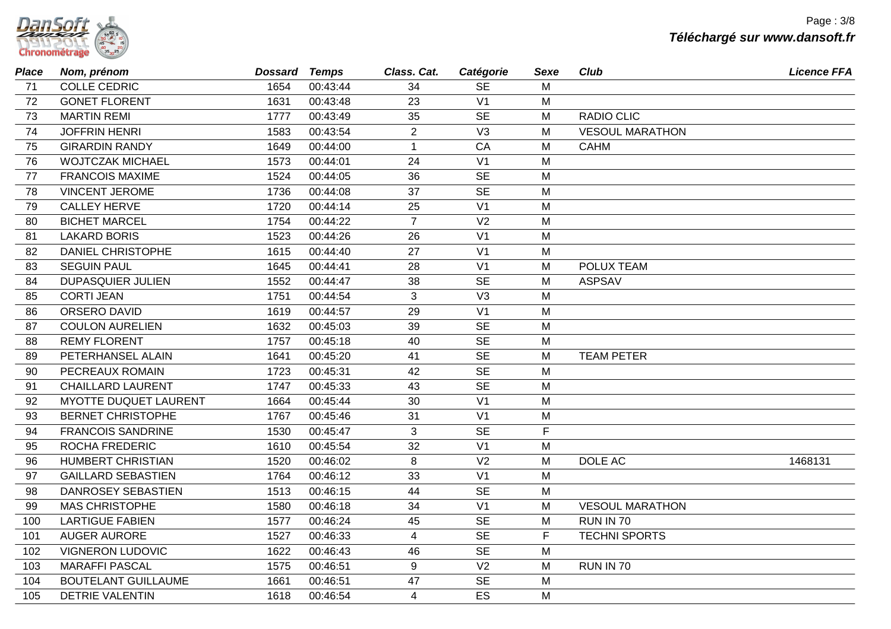| umsort               |  |
|----------------------|--|
| <b>Chronométrage</b> |  |

| <b>Place</b> | Nom, prénom                | Dossard Temps |          | Class. Cat.    | Catégorie      | Sexe         | <b>Club</b>            | <b>Licence FFA</b> |
|--------------|----------------------------|---------------|----------|----------------|----------------|--------------|------------------------|--------------------|
| 71           | <b>COLLE CEDRIC</b>        | 1654          | 00:43:44 | 34             | <b>SE</b>      | M            |                        |                    |
| 72           | <b>GONET FLORENT</b>       | 1631          | 00:43:48 | 23             | V <sub>1</sub> | M            |                        |                    |
| 73           | <b>MARTIN REMI</b>         | 1777          | 00:43:49 | 35             | <b>SE</b>      | M            | RADIO CLIC             |                    |
| 74           | <b>JOFFRIN HENRI</b>       | 1583          | 00:43:54 | $\overline{2}$ | V <sub>3</sub> | M            | <b>VESOUL MARATHON</b> |                    |
| 75           | <b>GIRARDIN RANDY</b>      | 1649          | 00:44:00 | $\mathbf{1}$   | CA             | M            | <b>CAHM</b>            |                    |
| 76           | <b>WOJTCZAK MICHAEL</b>    | 1573          | 00:44:01 | 24             | V <sub>1</sub> | M            |                        |                    |
| 77           | <b>FRANCOIS MAXIME</b>     | 1524          | 00:44:05 | 36             | <b>SE</b>      | M            |                        |                    |
| 78           | <b>VINCENT JEROME</b>      | 1736          | 00:44:08 | 37             | <b>SE</b>      | M            |                        |                    |
| 79           | <b>CALLEY HERVE</b>        | 1720          | 00:44:14 | 25             | V <sub>1</sub> | M            |                        |                    |
| 80           | <b>BICHET MARCEL</b>       | 1754          | 00:44:22 | $\overline{7}$ | V <sub>2</sub> | M            |                        |                    |
| 81           | <b>LAKARD BORIS</b>        | 1523          | 00:44:26 | 26             | V <sub>1</sub> | M            |                        |                    |
| 82           | <b>DANIEL CHRISTOPHE</b>   | 1615          | 00:44:40 | 27             | V <sub>1</sub> | M            |                        |                    |
| 83           | <b>SEGUIN PAUL</b>         | 1645          | 00:44:41 | 28             | V <sub>1</sub> | M            | POLUX TEAM             |                    |
| 84           | <b>DUPASQUIER JULIEN</b>   | 1552          | 00:44:47 | 38             | <b>SE</b>      | M            | <b>ASPSAV</b>          |                    |
| 85           | <b>CORTI JEAN</b>          | 1751          | 00:44:54 | $\mathbf{3}$   | V3             | M            |                        |                    |
| 86           | ORSERO DAVID               | 1619          | 00:44:57 | 29             | V <sub>1</sub> | M            |                        |                    |
| 87           | <b>COULON AURELIEN</b>     | 1632          | 00:45:03 | 39             | <b>SE</b>      | M            |                        |                    |
| 88           | <b>REMY FLORENT</b>        | 1757          | 00:45:18 | 40             | <b>SE</b>      | M            |                        |                    |
| 89           | PETERHANSEL ALAIN          | 1641          | 00:45:20 | 41             | <b>SE</b>      | M            | <b>TEAM PETER</b>      |                    |
| 90           | PECREAUX ROMAIN            | 1723          | 00:45:31 | 42             | <b>SE</b>      | M            |                        |                    |
| 91           | <b>CHAILLARD LAURENT</b>   | 1747          | 00:45:33 | 43             | <b>SE</b>      | M            |                        |                    |
| 92           | MYOTTE DUQUET LAURENT      | 1664          | 00:45:44 | 30             | V <sub>1</sub> | M            |                        |                    |
| 93           | <b>BERNET CHRISTOPHE</b>   | 1767          | 00:45:46 | 31             | V <sub>1</sub> | M            |                        |                    |
| 94           | <b>FRANCOIS SANDRINE</b>   | 1530          | 00:45:47 | 3              | <b>SE</b>      | $\mathsf{F}$ |                        |                    |
| 95           | ROCHA FREDERIC             | 1610          | 00:45:54 | 32             | V <sub>1</sub> | M            |                        |                    |
| 96           | <b>HUMBERT CHRISTIAN</b>   | 1520          | 00:46:02 | 8              | V <sub>2</sub> | M            | DOLE AC                | 1468131            |
| 97           | <b>GAILLARD SEBASTIEN</b>  | 1764          | 00:46:12 | 33             | V <sub>1</sub> | M            |                        |                    |
| 98           | DANROSEY SEBASTIEN         | 1513          | 00:46:15 | 44             | <b>SE</b>      | M            |                        |                    |
| 99           | <b>MAS CHRISTOPHE</b>      | 1580          | 00:46:18 | 34             | V <sub>1</sub> | M            | <b>VESOUL MARATHON</b> |                    |
| 100          | <b>LARTIGUE FABIEN</b>     | 1577          | 00:46:24 | 45             | <b>SE</b>      | M            | RUN IN 70              |                    |
| 101          | <b>AUGER AURORE</b>        | 1527          | 00:46:33 | $\overline{4}$ | <b>SE</b>      | $\mathsf{F}$ | <b>TECHNI SPORTS</b>   |                    |
| 102          | <b>VIGNERON LUDOVIC</b>    | 1622          | 00:46:43 | 46             | <b>SE</b>      | M            |                        |                    |
| 103          | <b>MARAFFI PASCAL</b>      | 1575          | 00:46:51 | 9              | V <sub>2</sub> | м            | <b>RUN IN 70</b>       |                    |
| 104          | <b>BOUTELANT GUILLAUME</b> | 1661          | 00:46:51 | 47             | <b>SE</b>      | M            |                        |                    |
| 105          | <b>DETRIE VALENTIN</b>     | 1618          | 00:46:54 | $\overline{4}$ | ES             | М            |                        |                    |
|              |                            |               |          |                |                |              |                        |                    |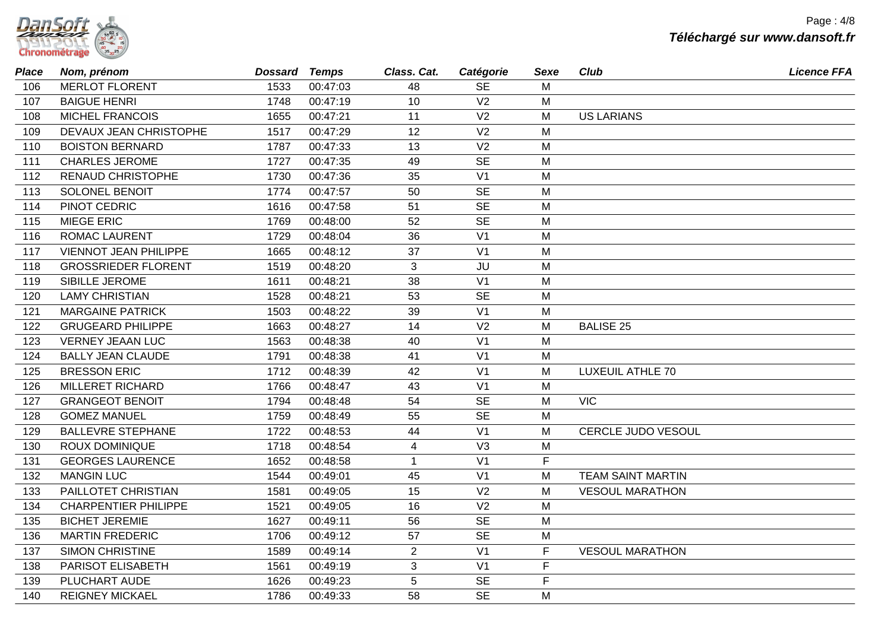| Tanson T             |  |
|----------------------|--|
| <b>Chronométrage</b> |  |

| <b>Place</b> | Nom, prénom                  | Dossard Temps |          | Class. Cat.    | Catégorie      | Sexe | <b>Club</b>               | <b>Licence FFA</b> |
|--------------|------------------------------|---------------|----------|----------------|----------------|------|---------------------------|--------------------|
| 106          | <b>MERLOT FLORENT</b>        | 1533          | 00:47:03 | 48             | <b>SE</b>      | M    |                           |                    |
| 107          | <b>BAIGUE HENRI</b>          | 1748          | 00:47:19 | 10             | V <sub>2</sub> | M    |                           |                    |
| 108          | <b>MICHEL FRANCOIS</b>       | 1655          | 00:47:21 | 11             | V <sub>2</sub> | M    | <b>US LARIANS</b>         |                    |
| 109          | DEVAUX JEAN CHRISTOPHE       | 1517          | 00:47:29 | 12             | V <sub>2</sub> | M    |                           |                    |
| 110          | <b>BOISTON BERNARD</b>       | 1787          | 00:47:33 | 13             | V <sub>2</sub> | M    |                           |                    |
| 111          | <b>CHARLES JEROME</b>        | 1727          | 00:47:35 | 49             | <b>SE</b>      | M    |                           |                    |
| 112          | <b>RENAUD CHRISTOPHE</b>     | 1730          | 00:47:36 | 35             | V <sub>1</sub> | M    |                           |                    |
| 113          | <b>SOLONEL BENOIT</b>        | 1774          | 00:47:57 | 50             | <b>SE</b>      | M    |                           |                    |
| 114          | PINOT CEDRIC                 | 1616          | 00:47:58 | 51             | <b>SE</b>      | M    |                           |                    |
| 115          | <b>MIEGE ERIC</b>            | 1769          | 00:48:00 | 52             | <b>SE</b>      | M    |                           |                    |
| 116          | <b>ROMAC LAURENT</b>         | 1729          | 00:48:04 | 36             | V <sub>1</sub> | M    |                           |                    |
| 117          | <b>VIENNOT JEAN PHILIPPE</b> | 1665          | 00:48:12 | 37             | V <sub>1</sub> | M    |                           |                    |
| 118          | <b>GROSSRIEDER FLORENT</b>   | 1519          | 00:48:20 | 3              | JU             | M    |                           |                    |
| 119          | SIBILLE JEROME               | 1611          | 00:48:21 | 38             | V <sub>1</sub> | M    |                           |                    |
| 120          | <b>LAMY CHRISTIAN</b>        | 1528          | 00:48:21 | 53             | <b>SE</b>      | M    |                           |                    |
| 121          | <b>MARGAINE PATRICK</b>      | 1503          | 00:48:22 | 39             | V <sub>1</sub> | M    |                           |                    |
| 122          | <b>GRUGEARD PHILIPPE</b>     | 1663          | 00:48:27 | 14             | V <sub>2</sub> | M    | <b>BALISE 25</b>          |                    |
| 123          | <b>VERNEY JEAAN LUC</b>      | 1563          | 00:48:38 | 40             | V <sub>1</sub> | M    |                           |                    |
| 124          | <b>BALLY JEAN CLAUDE</b>     | 1791          | 00:48:38 | 41             | V <sub>1</sub> | M    |                           |                    |
| 125          | <b>BRESSON ERIC</b>          | 1712          | 00:48:39 | 42             | V <sub>1</sub> | M    | <b>LUXEUIL ATHLE 70</b>   |                    |
| 126          | <b>MILLERET RICHARD</b>      | 1766          | 00:48:47 | 43             | V <sub>1</sub> | M    |                           |                    |
| 127          | <b>GRANGEOT BENOIT</b>       | 1794          | 00:48:48 | 54             | <b>SE</b>      | M    | <b>VIC</b>                |                    |
| 128          | <b>GOMEZ MANUEL</b>          | 1759          | 00:48:49 | 55             | <b>SE</b>      | M    |                           |                    |
| 129          | <b>BALLEVRE STEPHANE</b>     | 1722          | 00:48:53 | 44             | V <sub>1</sub> | M    | <b>CERCLE JUDO VESOUL</b> |                    |
| 130          | <b>ROUX DOMINIQUE</b>        | 1718          | 00:48:54 | $\overline{4}$ | V <sub>3</sub> | М    |                           |                    |
| 131          | <b>GEORGES LAURENCE</b>      | 1652          | 00:48:58 | $\mathbf{1}$   | V <sub>1</sub> | F    |                           |                    |
| 132          | <b>MANGIN LUC</b>            | 1544          | 00:49:01 | 45             | V <sub>1</sub> | M    | <b>TEAM SAINT MARTIN</b>  |                    |
| 133          | PAILLOTET CHRISTIAN          | 1581          | 00:49:05 | 15             | V <sub>2</sub> | M    | <b>VESOUL MARATHON</b>    |                    |
| 134          | <b>CHARPENTIER PHILIPPE</b>  | 1521          | 00:49:05 | 16             | V <sub>2</sub> | M    |                           |                    |
| 135          | <b>BICHET JEREMIE</b>        | 1627          | 00:49:11 | 56             | <b>SE</b>      | M    |                           |                    |
| 136          | <b>MARTIN FREDERIC</b>       | 1706          | 00:49:12 | 57             | <b>SE</b>      | M    |                           |                    |
| 137          | <b>SIMON CHRISTINE</b>       | 1589          | 00:49:14 | $\overline{2}$ | V <sub>1</sub> | F    | <b>VESOUL MARATHON</b>    |                    |
| 138          | PARISOT ELISABETH            | 1561          | 00:49:19 | 3              | V <sub>1</sub> | F    |                           |                    |
| 139          | PLUCHART AUDE                | 1626          | 00:49:23 | 5              | <b>SE</b>      | F    |                           |                    |
| 140          | <b>REIGNEY MICKAEL</b>       | 1786          | 00:49:33 | 58             | <b>SE</b>      | M    |                           |                    |
|              |                              |               |          |                |                |      |                           |                    |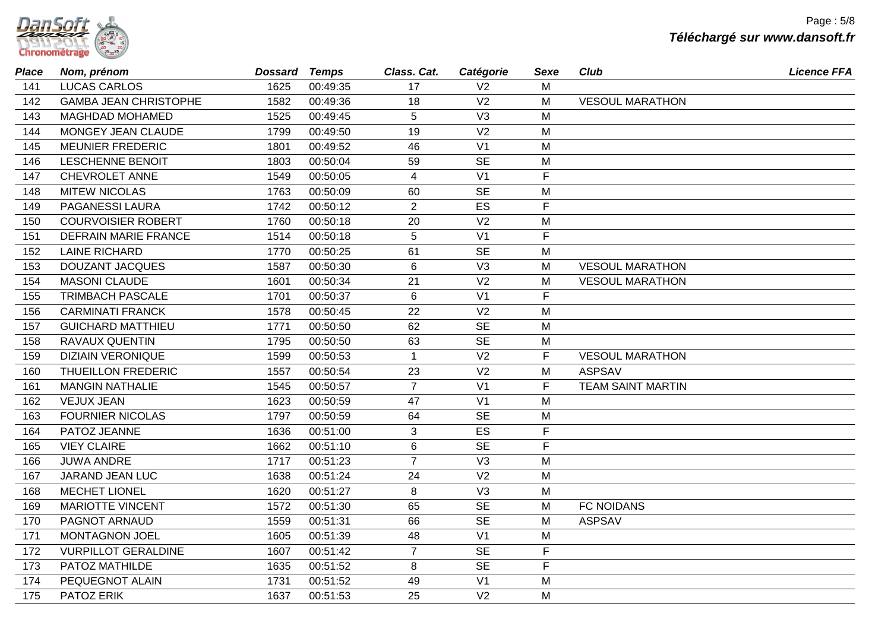| <i>DamSort</i>       |  |
|----------------------|--|
| <b>Chronométrage</b> |  |

| <b>Place</b> | Nom, prénom                  | <b>Dossard Temps</b> |          | Class. Cat.     | Catégorie      | Sexe         | <b>Club</b>              | <b>Licence FFA</b> |
|--------------|------------------------------|----------------------|----------|-----------------|----------------|--------------|--------------------------|--------------------|
| 141          | <b>LUCAS CARLOS</b>          | 1625                 | 00:49:35 | 17              | V <sub>2</sub> | M            |                          |                    |
| 142          | <b>GAMBA JEAN CHRISTOPHE</b> | 1582                 | 00:49:36 | 18              | V <sub>2</sub> | M            | <b>VESOUL MARATHON</b>   |                    |
| 143          | MAGHDAD MOHAMED              | 1525                 | 00:49:45 | 5               | V <sub>3</sub> | M            |                          |                    |
| 144          | MONGEY JEAN CLAUDE           | 1799                 | 00:49:50 | 19              | V <sub>2</sub> | M            |                          |                    |
| 145          | <b>MEUNIER FREDERIC</b>      | 1801                 | 00:49:52 | 46              | V <sub>1</sub> | M            |                          |                    |
| 146          | <b>LESCHENNE BENOIT</b>      | 1803                 | 00:50:04 | 59              | <b>SE</b>      | M            |                          |                    |
| 147          | CHEVROLET ANNE               | 1549                 | 00:50:05 | $\overline{4}$  | V <sub>1</sub> | F            |                          |                    |
| 148          | <b>MITEW NICOLAS</b>         | 1763                 | 00:50:09 | 60              | <b>SE</b>      | M            |                          |                    |
| 149          | PAGANESSI LAURA              | 1742                 | 00:50:12 | 2               | ES             | $\mathsf{F}$ |                          |                    |
| 150          | <b>COURVOISIER ROBERT</b>    | 1760                 | 00:50:18 | 20              | V <sub>2</sub> | M            |                          |                    |
| 151          | <b>DEFRAIN MARIE FRANCE</b>  | 1514                 | 00:50:18 | $5\phantom{.0}$ | V <sub>1</sub> | F            |                          |                    |
| 152          | <b>LAINE RICHARD</b>         | 1770                 | 00:50:25 | 61              | <b>SE</b>      | M            |                          |                    |
| 153          | <b>DOUZANT JACQUES</b>       | 1587                 | 00:50:30 | 6               | V3             | M            | <b>VESOUL MARATHON</b>   |                    |
| 154          | <b>MASONI CLAUDE</b>         | 1601                 | 00:50:34 | 21              | V <sub>2</sub> | M            | <b>VESOUL MARATHON</b>   |                    |
| 155          | <b>TRIMBACH PASCALE</b>      | 1701                 | 00:50:37 | $6\phantom{1}$  | V <sub>1</sub> | F            |                          |                    |
| 156          | <b>CARMINATI FRANCK</b>      | 1578                 | 00:50:45 | 22              | V <sub>2</sub> | M            |                          |                    |
| 157          | <b>GUICHARD MATTHIEU</b>     | 1771                 | 00:50:50 | 62              | <b>SE</b>      | M            |                          |                    |
| 158          | RAVAUX QUENTIN               | 1795                 | 00:50:50 | 63              | <b>SE</b>      | M            |                          |                    |
| 159          | <b>DIZIAIN VERONIQUE</b>     | 1599                 | 00:50:53 | $\mathbf{1}$    | V <sub>2</sub> | F            | <b>VESOUL MARATHON</b>   |                    |
| 160          | THUEILLON FREDERIC           | 1557                 | 00:50:54 | 23              | V <sub>2</sub> | M            | <b>ASPSAV</b>            |                    |
| 161          | <b>MANGIN NATHALIE</b>       | 1545                 | 00:50:57 | $\overline{7}$  | V <sub>1</sub> | F            | <b>TEAM SAINT MARTIN</b> |                    |
| 162          | <b>VEJUX JEAN</b>            | 1623                 | 00:50:59 | 47              | V <sub>1</sub> | M            |                          |                    |
| 163          | <b>FOURNIER NICOLAS</b>      | 1797                 | 00:50:59 | 64              | <b>SE</b>      | M            |                          |                    |
| 164          | PATOZ JEANNE                 | 1636                 | 00:51:00 | 3               | ES             | $\mathsf F$  |                          |                    |
| 165          | <b>VIEY CLAIRE</b>           | 1662                 | 00:51:10 | $\,6$           | <b>SE</b>      | F            |                          |                    |
| 166          | <b>JUWA ANDRE</b>            | 1717                 | 00:51:23 | $\overline{7}$  | V <sub>3</sub> | M            |                          |                    |
| 167          | JARAND JEAN LUC              | 1638                 | 00:51:24 | 24              | V <sub>2</sub> | M            |                          |                    |
| 168          | <b>MECHET LIONEL</b>         | 1620                 | 00:51:27 | 8               | V3             | M            |                          |                    |
| 169          | <b>MARIOTTE VINCENT</b>      | 1572                 | 00:51:30 | 65              | <b>SE</b>      | M            | <b>FC NOIDANS</b>        |                    |
| 170          | PAGNOT ARNAUD                | 1559                 | 00:51:31 | 66              | <b>SE</b>      | M            | <b>ASPSAV</b>            |                    |
| 171          | MONTAGNON JOEL               | 1605                 | 00:51:39 | 48              | V <sub>1</sub> | M            |                          |                    |
| 172          | <b>VURPILLOT GERALDINE</b>   | 1607                 | 00:51:42 | $\overline{7}$  | <b>SE</b>      | F            |                          |                    |
| 173          | PATOZ MATHILDE               | 1635                 | 00:51:52 | 8               | <b>SE</b>      | $\mathsf F$  |                          |                    |
| 174          | PEQUEGNOT ALAIN              | 1731                 | 00:51:52 | 49              | V <sub>1</sub> | M            |                          |                    |
| 175          | PATOZ ERIK                   | 1637                 | 00:51:53 | 25              | V <sub>2</sub> | M            |                          |                    |
|              |                              |                      |          |                 |                |              |                          |                    |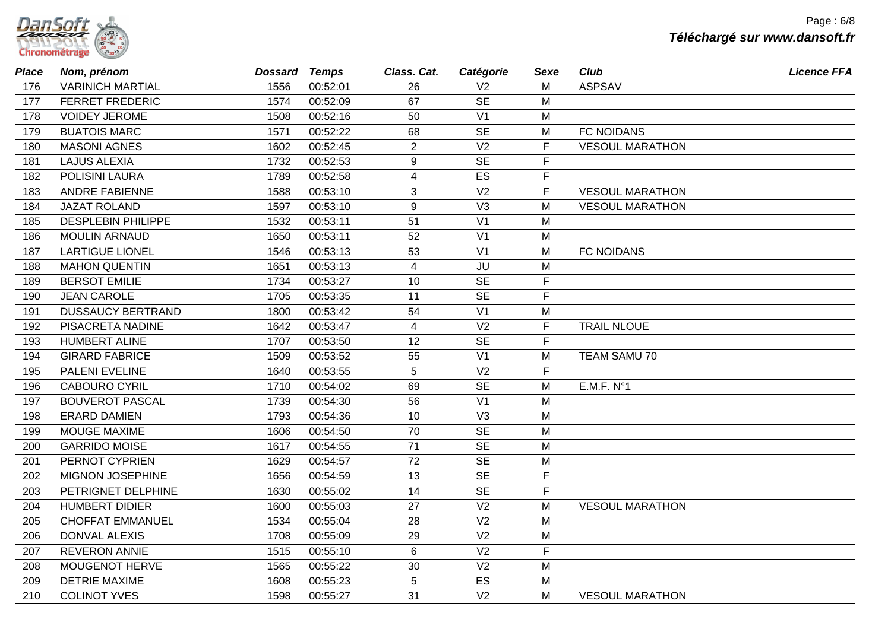| Tanson T             |  |
|----------------------|--|
| <b>Chronométrage</b> |  |

| <b>Place</b> | Nom, prénom               | Dossard Temps |          | Class. Cat.      | Catégorie      | Sexe           | Club                   | <b>Licence FFA</b> |
|--------------|---------------------------|---------------|----------|------------------|----------------|----------------|------------------------|--------------------|
| 176          | <b>VARINICH MARTIAL</b>   | 1556          | 00:52:01 | 26               | V <sub>2</sub> | М              | <b>ASPSAV</b>          |                    |
| 177          | <b>FERRET FREDERIC</b>    | 1574          | 00:52:09 | 67               | <b>SE</b>      | M              |                        |                    |
| 178          | <b>VOIDEY JEROME</b>      | 1508          | 00:52:16 | 50               | V <sub>1</sub> | M              |                        |                    |
| 179          | <b>BUATOIS MARC</b>       | 1571          | 00:52:22 | 68               | <b>SE</b>      | M              | <b>FC NOIDANS</b>      |                    |
| 180          | <b>MASONI AGNES</b>       | 1602          | 00:52:45 | $\overline{2}$   | V <sub>2</sub> | F              | <b>VESOUL MARATHON</b> |                    |
| 181          | <b>LAJUS ALEXIA</b>       | 1732          | 00:52:53 | $\boldsymbol{9}$ | <b>SE</b>      | $\mathsf{F}$   |                        |                    |
| 182          | POLISINI LAURA            | 1789          | 00:52:58 | 4                | ES             | $\mathsf F$    |                        |                    |
| 183          | <b>ANDRE FABIENNE</b>     | 1588          | 00:53:10 | 3                | V <sub>2</sub> | $\mathsf{F}$   | <b>VESOUL MARATHON</b> |                    |
| 184          | <b>JAZAT ROLAND</b>       | 1597          | 00:53:10 | 9                | V3             | М              | <b>VESOUL MARATHON</b> |                    |
| 185          | <b>DESPLEBIN PHILIPPE</b> | 1532          | 00:53:11 | 51               | V <sub>1</sub> | M              |                        |                    |
| 186          | <b>MOULIN ARNAUD</b>      | 1650          | 00:53:11 | 52               | V <sub>1</sub> | M              |                        |                    |
| 187          | <b>LARTIGUE LIONEL</b>    | 1546          | 00:53:13 | 53               | V <sub>1</sub> | M              | <b>FC NOIDANS</b>      |                    |
| 188          | <b>MAHON QUENTIN</b>      | 1651          | 00:53:13 | $\overline{4}$   | JU             | М              |                        |                    |
| 189          | <b>BERSOT EMILIE</b>      | 1734          | 00:53:27 | 10               | <b>SE</b>      | F              |                        |                    |
| 190          | <b>JEAN CAROLE</b>        | 1705          | 00:53:35 | 11               | <b>SE</b>      | $\overline{F}$ |                        |                    |
| 191          | <b>DUSSAUCY BERTRAND</b>  | 1800          | 00:53:42 | 54               | V <sub>1</sub> | M              |                        |                    |
| 192          | PISACRETA NADINE          | 1642          | 00:53:47 | $\overline{4}$   | V <sub>2</sub> | F              | <b>TRAIL NLOUE</b>     |                    |
| 193          | <b>HUMBERT ALINE</b>      | 1707          | 00:53:50 | 12               | <b>SE</b>      | $\mathsf F$    |                        |                    |
| 194          | <b>GIRARD FABRICE</b>     | 1509          | 00:53:52 | 55               | V <sub>1</sub> | М              | TEAM SAMU 70           |                    |
| 195          | PALENI EVELINE            | 1640          | 00:53:55 | 5                | V <sub>2</sub> | $\mathsf F$    |                        |                    |
| 196          | <b>CABOURO CYRIL</b>      | 1710          | 00:54:02 | 69               | <b>SE</b>      | M              | E.M.F. N°1             |                    |
| 197          | <b>BOUVEROT PASCAL</b>    | 1739          | 00:54:30 | 56               | V <sub>1</sub> | M              |                        |                    |
| 198          | <b>ERARD DAMIEN</b>       | 1793          | 00:54:36 | 10               | V3             | M              |                        |                    |
| 199          | MOUGE MAXIME              | 1606          | 00:54:50 | 70               | <b>SE</b>      | M              |                        |                    |
| 200          | <b>GARRIDO MOISE</b>      | 1617          | 00:54:55 | 71               | <b>SE</b>      | M              |                        |                    |
| 201          | PERNOT CYPRIEN            | 1629          | 00:54:57 | 72               | <b>SE</b>      | M              |                        |                    |
| 202          | <b>MIGNON JOSEPHINE</b>   | 1656          | 00:54:59 | 13               | <b>SE</b>      | $\mathsf F$    |                        |                    |
| 203          | PETRIGNET DELPHINE        | 1630          | 00:55:02 | 14               | <b>SE</b>      | F              |                        |                    |
| 204          | <b>HUMBERT DIDIER</b>     | 1600          | 00:55:03 | 27               | V <sub>2</sub> | M              | <b>VESOUL MARATHON</b> |                    |
| 205          | <b>CHOFFAT EMMANUEL</b>   | 1534          | 00:55:04 | 28               | V <sub>2</sub> | M              |                        |                    |
| 206          | <b>DONVAL ALEXIS</b>      | 1708          | 00:55:09 | 29               | V <sub>2</sub> | M              |                        |                    |
| 207          | <b>REVERON ANNIE</b>      | 1515          | 00:55:10 | $\,6\,$          | V <sub>2</sub> | $\mathsf F$    |                        |                    |
| 208          | MOUGENOT HERVE            | 1565          | 00:55:22 | 30               | V <sub>2</sub> | M              |                        |                    |
| 209          | <b>DETRIE MAXIME</b>      | 1608          | 00:55:23 | 5                | ES             | M              |                        |                    |
| 210          | <b>COLINOT YVES</b>       | 1598          | 00:55:27 | 31               | V <sub>2</sub> | м              | <b>VESOUL MARATHON</b> |                    |
|              |                           |               |          |                  |                |                |                        |                    |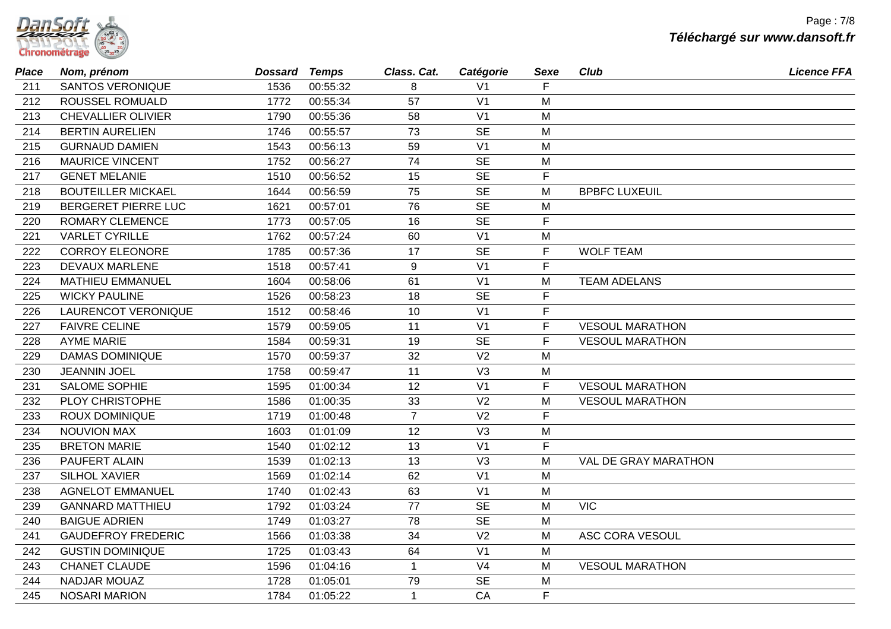| 2217.5017            |  |
|----------------------|--|
| <b>Chronométrage</b> |  |

| <b>Place</b> | Nom, prénom               | Dossard | Temps    | Class. Cat.    | Catégorie      | Sexe        | Club                   | <b>Licence FFA</b> |
|--------------|---------------------------|---------|----------|----------------|----------------|-------------|------------------------|--------------------|
| 211          | <b>SANTOS VERONIQUE</b>   | 1536    | 00:55:32 | 8              | V <sub>1</sub> | F           |                        |                    |
| 212          | <b>ROUSSEL ROMUALD</b>    | 1772    | 00:55:34 | 57             | V <sub>1</sub> | M           |                        |                    |
| 213          | <b>CHEVALLIER OLIVIER</b> | 1790    | 00:55:36 | 58             | V <sub>1</sub> | M           |                        |                    |
| 214          | <b>BERTIN AURELIEN</b>    | 1746    | 00:55:57 | 73             | <b>SE</b>      | M           |                        |                    |
| 215          | <b>GURNAUD DAMIEN</b>     | 1543    | 00:56:13 | 59             | V <sub>1</sub> | M           |                        |                    |
| 216          | <b>MAURICE VINCENT</b>    | 1752    | 00:56:27 | 74             | <b>SE</b>      | M           |                        |                    |
| 217          | <b>GENET MELANIE</b>      | 1510    | 00:56:52 | 15             | <b>SE</b>      | F           |                        |                    |
| 218          | <b>BOUTEILLER MICKAEL</b> | 1644    | 00:56:59 | 75             | <b>SE</b>      | M           | <b>BPBFC LUXEUIL</b>   |                    |
| 219          | BERGERET PIERRE LUC       | 1621    | 00:57:01 | 76             | <b>SE</b>      | М           |                        |                    |
| 220          | <b>ROMARY CLEMENCE</b>    | 1773    | 00:57:05 | 16             | <b>SE</b>      | $\mathsf F$ |                        |                    |
| 221          | <b>VARLET CYRILLE</b>     | 1762    | 00:57:24 | 60             | V <sub>1</sub> | M           |                        |                    |
| 222          | <b>CORROY ELEONORE</b>    | 1785    | 00:57:36 | 17             | <b>SE</b>      | F           | <b>WOLF TEAM</b>       |                    |
| 223          | <b>DEVAUX MARLENE</b>     | 1518    | 00:57:41 | 9              | V <sub>1</sub> | F           |                        |                    |
| 224          | <b>MATHIEU EMMANUEL</b>   | 1604    | 00:58:06 | 61             | V <sub>1</sub> | M           | <b>TEAM ADELANS</b>    |                    |
| 225          | <b>WICKY PAULINE</b>      | 1526    | 00:58:23 | 18             | <b>SE</b>      | F           |                        |                    |
| 226          | LAURENCOT VERONIQUE       | 1512    | 00:58:46 | 10             | V <sub>1</sub> | $\mathsf F$ |                        |                    |
| 227          | <b>FAIVRE CELINE</b>      | 1579    | 00:59:05 | 11             | V <sub>1</sub> | F           | <b>VESOUL MARATHON</b> |                    |
| 228          | <b>AYME MARIE</b>         | 1584    | 00:59:31 | 19             | <b>SE</b>      | F           | <b>VESOUL MARATHON</b> |                    |
| 229          | <b>DAMAS DOMINIQUE</b>    | 1570    | 00:59:37 | 32             | V <sub>2</sub> | M           |                        |                    |
| 230          | <b>JEANNIN JOEL</b>       | 1758    | 00:59:47 | 11             | V3             | М           |                        |                    |
| 231          | SALOME SOPHIE             | 1595    | 01:00:34 | 12             | V <sub>1</sub> | F           | <b>VESOUL MARATHON</b> |                    |
| 232          | PLOY CHRISTOPHE           | 1586    | 01:00:35 | 33             | V <sub>2</sub> | M           | <b>VESOUL MARATHON</b> |                    |
| 233          | <b>ROUX DOMINIQUE</b>     | 1719    | 01:00:48 | $\overline{7}$ | V <sub>2</sub> | F           |                        |                    |
| 234          | <b>NOUVION MAX</b>        | 1603    | 01:01:09 | 12             | V3             | M           |                        |                    |
| 235          | <b>BRETON MARIE</b>       | 1540    | 01:02:12 | 13             | V <sub>1</sub> | F           |                        |                    |
| 236          | PAUFERT ALAIN             | 1539    | 01:02:13 | 13             | V <sub>3</sub> | M           | VAL DE GRAY MARATHON   |                    |
| 237          | SILHOL XAVIER             | 1569    | 01:02:14 | 62             | V <sub>1</sub> | M           |                        |                    |
| 238          | <b>AGNELOT EMMANUEL</b>   | 1740    | 01:02:43 | 63             | V <sub>1</sub> | M           |                        |                    |
| 239          | <b>GANNARD MATTHIEU</b>   | 1792    | 01:03:24 | 77             | <b>SE</b>      | M           | <b>VIC</b>             |                    |
| 240          | <b>BAIGUE ADRIEN</b>      | 1749    | 01:03:27 | 78             | <b>SE</b>      | M           |                        |                    |
| 241          | <b>GAUDEFROY FREDERIC</b> | 1566    | 01:03:38 | 34             | V <sub>2</sub> | M           | ASC CORA VESOUL        |                    |
| 242          | <b>GUSTIN DOMINIQUE</b>   | 1725    | 01:03:43 | 64             | V <sub>1</sub> | M           |                        |                    |
| 243          | <b>CHANET CLAUDE</b>      | 1596    | 01:04:16 | $\mathbf{1}$   | V <sub>4</sub> | М           | <b>VESOUL MARATHON</b> |                    |
| 244          | <b>NADJAR MOUAZ</b>       | 1728    | 01:05:01 | 79             | <b>SE</b>      | М           |                        |                    |
| 245          | <b>NOSARI MARION</b>      | 1784    | 01:05:22 | $\mathbf{1}$   | CA             | F           |                        |                    |
|              |                           |         |          |                |                |             |                        |                    |